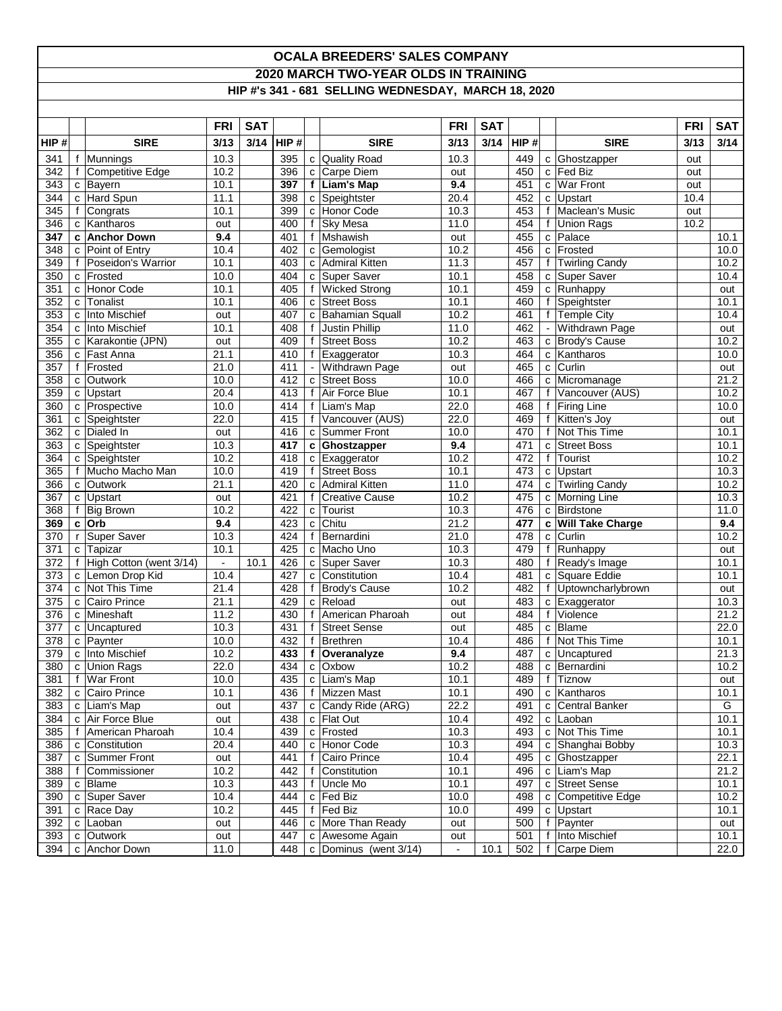## **OCALA BREEDERS' SALES COMPANY 2020 MARCH TWO-YEAR OLDS IN TRAINING HIP #'s 341 - 681 SELLING WEDNESDAY, MARCH 18, 2020**

|      |    |                           | <b>FRI</b>        | <b>SAT</b> |            |              |                              | <b>FRI</b>                         | <b>SAT</b> |            |                   |                            | <b>FRI</b> | <b>SAT</b>   |
|------|----|---------------------------|-------------------|------------|------------|--------------|------------------------------|------------------------------------|------------|------------|-------------------|----------------------------|------------|--------------|
| HIP# |    | <b>SIRE</b>               | 3/13              | 3/14       | HIP#       |              | <b>SIRE</b>                  | 3/13                               | 3/14       | HIP#       |                   | <b>SIRE</b>                | 3/13       | 3/14         |
| 341  |    | f Munnings                | 10.3              |            | 395        | c            | <b>Quality Road</b>          | 10.3                               |            | 449        |                   | c Ghostzapper              | out        |              |
| 342  | f  | Competitive Edge          | 10.2              |            | 396        |              | c Carpe Diem                 | out                                |            | 450        |                   | c Fed Biz                  | out        |              |
| 343  |    | c Bayern                  | 10.1              |            | 397        |              | f Liam's Map                 | 9.4                                |            | 451        |                   | c War Front                | out        |              |
| 344  |    | c Hard Spun               | 11.1              |            | 398        |              | c Speightster                | 20.4                               |            | 452        |                   | c Upstart                  | 10.4       |              |
| 345  |    | f Congrats                | 10.1              |            | 399        | $\mathbf{c}$ | Honor Code                   | 10.3                               |            | 453        |                   | f Maclean's Music          | out        |              |
| 346  |    | c Kantharos               | out               |            | 400        | f            | <b>Sky Mesa</b>              | 11.0                               |            | 454        | f                 | <b>Union Rags</b>          | 10.2       |              |
| 347  |    | c Anchor Down             | 9.4               |            | 401        | $\mathsf{f}$ | Mshawish                     | out                                |            | 455        |                   | c Palace                   |            | 10.1         |
| 348  |    | c Point of Entry          | 10.4              |            | 402        | c            | Gemologist                   | 10.2                               |            | 456        |                   | c Frosted                  |            | 10.0         |
| 349  |    | f Poseidon's Warrior      | 10.1              |            | 403        |              | c Admiral Kitten             | 11.3                               |            | 457        |                   | f Twirling Candy           |            | 10.2         |
| 350  |    | c Frosted                 | 10.0              |            | 404        | c            | Super Saver                  | 10.1                               |            | 458        |                   | c   Super Saver            |            | 10.4         |
| 351  |    | c Honor Code              | 10.1              |            | 405        |              | <b>Wicked Strong</b>         | 10.1                               |            | 459        |                   | c Runhappy                 |            | out          |
| 352  |    | c Tonalist                | 10.1              |            | 406        | $\mathbf c$  | <b>Street Boss</b>           | 10.1                               |            | 460        | f                 | Speightster                |            | 10.1         |
| 353  |    | c Into Mischief           | out               |            | 407        | c            | <b>Bahamian Squall</b>       | 10.2                               |            | 461        | f                 | <b>Temple City</b>         |            | 10.4         |
| 354  |    | c Into Mischief           | 10.1              |            | 408        | f            | <b>Justin Phillip</b>        | 11.0                               |            | 462        |                   | Withdrawn Page             |            | out          |
| 355  |    | c Karakontie (JPN)        | out               |            | 409        | $\mathbf f$  | <b>Street Boss</b>           | 10.2                               |            | 463        |                   | c Brody's Cause            |            | 10.2         |
| 356  |    | c Fast Anna               | 21.1              |            | 410        | f            | Exaggerator                  | 10.3                               |            | 464        |                   | c Kantharos                |            | 10.0         |
| 357  |    | f Frosted                 | 21.0              |            | 411        |              | Withdrawn Page               | out                                |            | 465        | C                 | Curlin                     |            | out          |
| 358  |    | c Outwork                 | 10.0              |            | 412        | C            | <b>Street Boss</b>           | 10.0                               |            | 466        |                   | c Micromanage              |            | 21.2         |
| 359  |    | c Upstart                 | 20.4              |            | 413        | $\mathsf{f}$ | Air Force Blue               | 10.1                               |            | 467        | f                 | Vancouver (AUS)            |            | 10.2         |
| 360  |    | c Prospective             | 10.0              |            | 414        | f            | Liam's Map                   | 22.0                               |            | 468        | f                 | <b>Firing Line</b>         |            | 10.0         |
| 361  |    | c Speightster             | 22.0              |            | 415        | f            | Vancouver (AUS)              | 22.0                               |            | 469        | f                 | Kitten's Joy               |            | out          |
| 362  |    | c Dialed In               | out               |            | 416        | $\mathbf c$  | Summer Front                 | 10.0                               |            | 470        | f                 | Not This Time              |            | 10.1         |
| 363  |    | c Speightster             | 10.3              |            | 417        | c            | Ghostzapper                  | 9.4                                |            | 471        | $\mathbf{C}$      | <b>Street Boss</b>         |            | 10.1         |
| 364  |    | c Speightster             | 10.2              |            | 418        |              | c Exaggerator                | 10.2                               |            | 472        | f                 | Tourist                    |            | 10.2         |
| 365  |    | f Mucho Macho Man         | 10.0              |            | 419        | f            | <b>Street Boss</b>           | 10.1                               |            | 473        | C                 | Upstart                    |            | 10.3         |
| 366  |    | c Outwork                 | 21.1              |            | 420        | $\mathbf{C}$ | Admiral Kitten               | 11.0                               |            | 474        |                   | c Twirling Candy           |            | 10.2         |
| 367  |    | c Upstart                 | out               |            | 421        | f            | <b>Creative Cause</b>        | 10.2                               |            | 475        |                   | c Morning Line             |            | 10.3         |
| 368  | f  | <b>Big Brown</b>          | 10.2              |            | 422        | $\mathbf c$  | Tourist                      | 10.3                               |            | 476        |                   | c Birdstone                |            | 11.0         |
| 369  |    | $c$ Orb                   | 9.4               |            | 423        | c            | <b>Chitu</b>                 | 21.2                               |            | 477        |                   | c Will Take Charge         |            | 9.4          |
| 370  | r. | <b>Super Saver</b>        | 10.3              |            | 424        | f            | Bernardini                   | 21.0                               |            | 478        | C                 | Curlin                     |            | 10.2         |
| 371  |    | c Tapizar                 | 10.1              |            | 425        |              | c Macho Uno                  | 10.3                               |            | 479        | f                 | Runhappy                   |            | out          |
| 372  |    | f High Cotton (went 3/14) | $\blacksquare$    | 10.1       | 426        | c            | Super Saver                  | 10.3                               |            | 480        | f                 | Ready's Image              |            | 10.1         |
| 373  |    | c Lemon Drop Kid          | 10.4              |            | 427        | c            | Constitution                 | 10.4                               |            | 481        | c                 | Square Eddie               |            | 10.1         |
| 374  |    | c Not This Time           | 21.4              |            | 428        | f            | Brody's Cause                | 10.2                               |            | 482        |                   | f Uptowncharlybrown        |            | out          |
| 375  |    | c Cairo Prince            | 21.1              |            | 429        | $\mathbf{C}$ | Reload                       | out                                |            | 483        |                   | c Exaggerator              |            | 10.3         |
| 376  |    | c Mineshaft               | 11.2              |            | 430        |              | American Pharoah             | out                                |            | 484        | f                 | Violence                   |            | 21.2         |
| 377  |    | c Uncaptured              | 10.3              |            | 431        | f            | <b>Street Sense</b>          | out                                |            | 485        | C                 | Blame                      |            | 22.0         |
| 378  |    | c Paynter                 | 10.0              |            | 432        | f            | <b>Brethren</b>              | 10.4                               |            | 486        | f                 | Not This Time              |            | 10.1         |
| 379  |    | c Into Mischief           | 10.2              |            | 433        | f            | Overanalyze                  | 9.4                                |            | 487        |                   | c Uncaptured               |            | 21.3         |
| 380  |    | c Union Rags              | 22.0              |            | 434        | $\mathbf{C}$ | <b>Oxbow</b>                 | 10.2                               |            | 488        | c                 | Bernardini                 |            | 10.2         |
| 381  |    | f War Front               | 10.0              |            | 435        |              | c Liam's Map                 | 10.1                               |            | 489        |                   | f Tiznow                   |            | out          |
| 382  |    | c Cairo Prince            | 10.1              |            | 436        |              | f Mizzen Mast                | 10.1                               |            | 490        |                   | c Kantharos                |            | 10.1         |
| 383  |    | c Liam's Map              | out               |            | 437        |              | c Candy Ride (ARG)           | 22.2                               |            | 491        |                   | c Central Banker           |            | G            |
| 384  |    | c Air Force Blue          | out               |            | 438        |              | c Flat Out                   | 10.4                               |            | 492        |                   | c Laoban                   |            | 10.1         |
| 385  |    | f American Pharoah        | 10.4              |            | 439        |              | c Frosted<br>c Honor Code    | 10.3                               |            | 493        |                   | c Not This Time            |            | 10.1         |
| 386  |    | c Constitution            | $\overline{20.4}$ |            | 440        | f            |                              | 10.3                               |            | 494        |                   | c Shanghai Bobby           |            | 10.3<br>22.1 |
| 387  |    | c Summer Front            | out               |            | 441        |              | Cairo Prince                 | 10.4                               |            | 495        |                   | c Ghostzapper              |            |              |
| 388  |    | f Commissioner            | 10.2              |            | 442        | f            | Constitution                 | 10.1                               |            | 496<br>497 |                   | c Liam's Map               |            | 21.2         |
| 389  |    | c   Blame                 | 10.3              |            | 443        | f            | Uncle Mo                     | 10.1                               |            |            |                   | c Street Sense             |            | 10.1         |
| 390  |    | c Super Saver             | 10.4              |            | 444        |              | c   Fed Biz<br>f $ $ Fed Biz | 10.0                               |            | 498<br>499 |                   | c Competitive Edge         |            | 10.2         |
| 391  |    | c Race Day<br>c Laoban    | 10.2              |            | 445        |              | c More Than Ready            | 10.0                               |            |            |                   | c Upstart                  |            | 10.1         |
| 392  |    | c Outwork                 | out               |            | 446        |              |                              | out                                |            | 500        |                   | f Paynter<br>Into Mischief |            | out<br>10.1  |
| 393  |    | c Anchor Down             | out<br>11.0       |            | 447<br>448 |              | c Awesome Again              | out<br>$\mathcal{L}_{\mathcal{A}}$ | 10.1       | 501<br>502 | f<br>$\mathsf{f}$ | Carpe Diem                 |            |              |
| 394  |    |                           |                   |            |            |              | c Dominus (went 3/14)        |                                    |            |            |                   |                            |            | 22.0         |